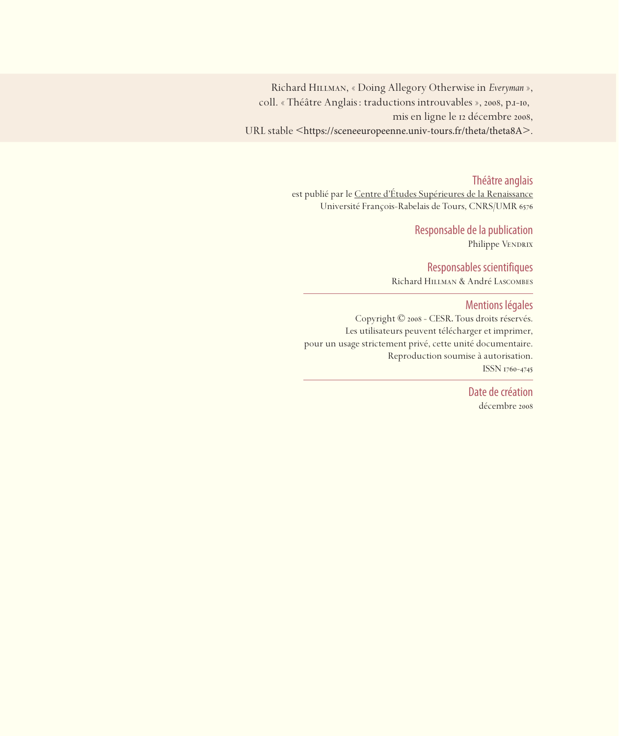Richard Hillman, « Doing Allegory Otherwise in *Everyman* », coll. « Théâtre Anglais : traductions introuvables », 2008, p.1-10, mis en ligne le 12 décembre 2008, URL stable <https://sceneeuropeenne.univ-tours.fr/theta/theta8A>.

Théâtre anglais

est publié par le Centre d'études Supérieures de la Renaissance Université François-Rabelais de Tours, CNRS/UMR

> Responsable de la publication Philippe VENDRIX

Responsables scientifiques Richard Hillman & André Lascombes

Mentions légales

Copyright © 2008 - CESR. Tous droits réservés. Les utilisateurs peuvent télécharger et imprimer, pour un usage strictement privé, cette unité documentaire. Reproduction soumise à autorisation. ISSN 1760-4745

> Date de création décembre 2008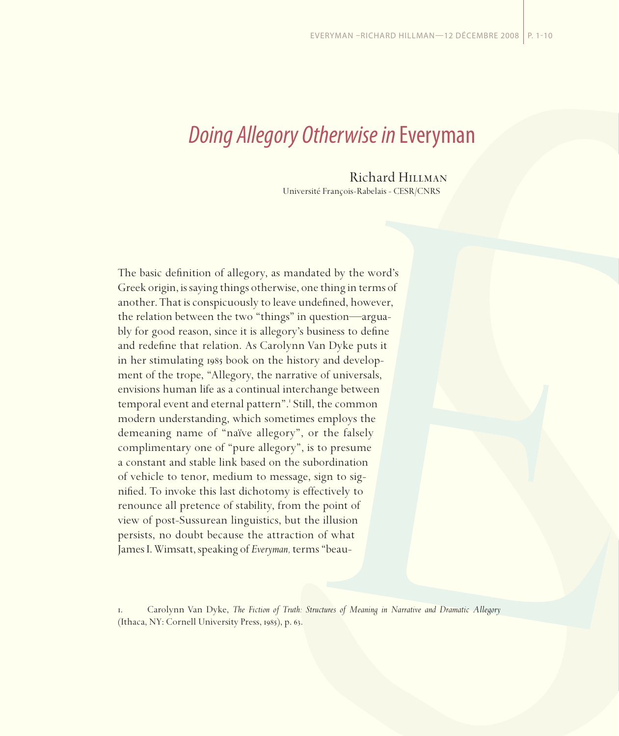## *Doing Allegory Otherwise in* Everyman

Richard Hillman Université François-Rabelais - CESR/CNRS

The basic definition of allegory, as mandated by the word's Greek origin, is saying things otherwise, one thing in terms of another. That is conspicuously to leave undefined, however, the relation between the two "things" in question—arguably for good reason, since it is allegory's business to define and redefine that relation. As Carolynn Van Dyke puts it in her stimulating 1985 book on the history and development of the trope, "Allegory, the narrative of universals, envisions human life as a continual interchange between temporal event and eternal pattern".<sup>1</sup> Still, the common modern understanding, which sometimes employs the demeaning name of "naïve allegory", or the falsely complimentary one of "pure allegory", is to presume a constant and stable link based on the subordination of vehicle to tenor, medium to message, sign to signified. To invoke this last dichotomy is effectively to renounce all pretence of stability, from the point of view of post-Sussurean linguistics, but the illusion persists, no doubt because the attraction of what James I. Wimsatt, speaking of *Everyman,* terms "beau-

. Carolynn Van Dyke, *The Fiction of Truth: Structures of Meaning in Narrative and Dramatic Allegory* (Ithaca, NY: Cornell University Press, 1985), p. 63.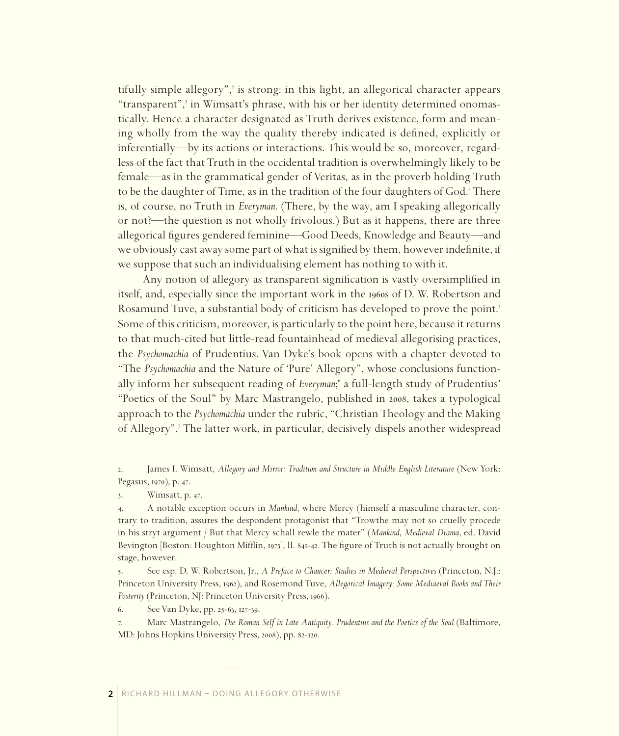tifully simple allegory",<sup>2</sup> is strong: in this light, an allegorical character appears "transparent",<sup>3</sup> in Wimsatt's phrase, with his or her identity determined onomastically. Hence a character designated as Truth derives existence, form and meaning wholly from the way the quality thereby indicated is defined, explicitly or inferentially—by its actions or interactions. This would be so, moreover, regardless of the fact that Truth in the occidental tradition is overwhelmingly likely to be female—as in the grammatical gender of Veritas, as in the proverb holding Truth to be the daughter of Time, as in the tradition of the four daughters of God.<sup>4</sup> There is, of course, no Truth in *Everyman*. (There, by the way, am I speaking allegorically or not?—the question is not wholly frivolous.) But as it happens, there are three allegorical figures gendered feminine—Good Deeds, Knowledge and Beauty—and we obviously cast away some part of what is signified by them, however indefinite, if we suppose that such an individualising element has nothing to with it.

Any notion of allegory as transparent signification is vastly oversimplified in itself, and, especially since the important work in the 1960s of D. W. Robertson and Rosamund Tuve, a substantial body of criticism has developed to prove the point. Some of this criticism, moreover, is particularly to the point here, because it returns to that much-cited but little-read fountainhead of medieval allegorising practices, the *Psychomachia* of Prudentius. Van Dyke's book opens with a chapter devoted to "The *Psychomachia* and the Nature of 'Pure' Allegory", whose conclusions functionally inform her subsequent reading of *Everyman*;<sup>6</sup> a full-length study of Prudentius' "Poetics of the Soul" by Marc Mastrangelo, published in 2008, takes a typological approach to the *Psychomachia* under the rubric, "Christian Theology and the Making of Allegory". The latter work, in particular, decisively dispels another widespread

. James I. Wimsatt, *Allegory and Mirror: Tradition and Structure in Middle English Literature* (New York: Pegasus, 1970), p. 47.

3. Wimsatt, p. 47.

. A notable exception occurs in *Mankind*, where Mercy (himself a masculine character, contrary to tradition, assures the despondent protagonist that "Trowthe may not so cruelly procede in his stryt argument / But that Mercy schall rewle the mater" (*Mankind*, *Medieval Drama*, ed. David Bevington [Boston: Houghton Mifflin, 1975], ll.  $841-42$ . The figure of Truth is not actually brought on stage, however.

. See esp. D. W. Robertson, Jr., *A Preface to Chaucer: Studies in Medieval Perspectives* (Princeton, N.J.: Princeton University Press, 1962), and Rosemond Tuve, *Allegorical Imagery: Some Mediaeval Books and Their* Posterity (Princeton, NJ: Princeton University Press, 1966).

6. See Van Dyke, pp. 25-63, 127-39.

. Marc Mastrangelo, *The Roman Self in Late Antiquity: Prudentius and the Poetics of the Soul* (Baltimore, MD: Johns Hopkins University Press, 2008), pp. 82-120.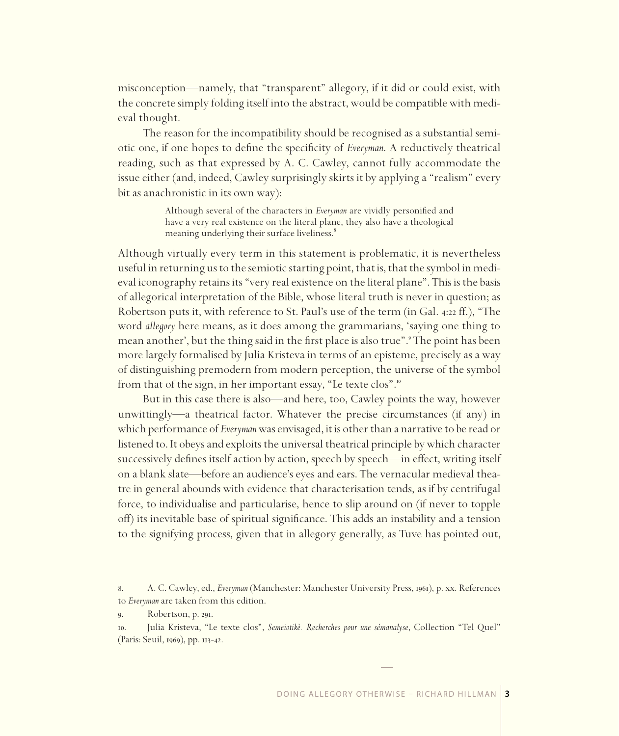misconception—namely, that "transparent" allegory, if it did or could exist, with the concrete simply folding itself into the abstract, would be compatible with medieval thought.

The reason for the incompatibility should be recognised as a substantial semiotic one, if one hopes to define the specificity of *Everyman*. A reductively theatrical reading, such as that expressed by A. C. Cawley, cannot fully accommodate the issue either (and, indeed, Cawley surprisingly skirts it by applying a "realism" every bit as anachronistic in its own way):

> Although several of the characters in *Everyman* are vividly personified and have a very real existence on the literal plane, they also have a theological meaning underlying their surface liveliness.

Although virtually every term in this statement is problematic, it is nevertheless useful in returning us to the semiotic starting point, that is, that the symbol in medieval iconography retains its "very real existence on the literal plane". This is the basis of allegorical interpretation of the Bible, whose literal truth is never in question; as Robertson puts it, with reference to St. Paul's use of the term (in Gal. 4:22 ff.), "The word *allegory* here means, as it does among the grammarians, 'saying one thing to mean another', but the thing said in the first place is also true". The point has been more largely formalised by Julia Kristeva in terms of an episteme, precisely as a way of distinguishing premodern from modern perception, the universe of the symbol from that of the sign, in her important essay, "Le texte clos".<sup>10</sup>

But in this case there is also—and here, too, Cawley points the way, however unwittingly—a theatrical factor. Whatever the precise circumstances (if any) in which performance of *Everyman* was envisaged, it is other than a narrative to be read or listened to. It obeys and exploits the universal theatrical principle by which character successively defines itself action by action, speech by speech—in effect, writing itself on a blank slate—before an audience's eyes and ears. The vernacular medieval theatre in general abounds with evidence that characterisation tends, as if by centrifugal force, to individualise and particularise, hence to slip around on (if never to topple off) its inevitable base of spiritual significance. This adds an instability and a tension to the signifying process, given that in allegory generally, as Tuve has pointed out,

<sup>8.</sup> A. C. Cawley, ed., *Everyman* (Manchester: Manchester University Press, 1961), p. xx. References to *Everyman* are taken from this edition.

<sup>9.</sup> Robertson, p. 291.

<sup>.</sup> Julia Kristeva, "Le texte clos", *Semeiotikè. Recherches pour une sémanalyse*, Collection "Tel Quel"  $(Paris: Seuil, 1969)$ , pp.  $113-42$ .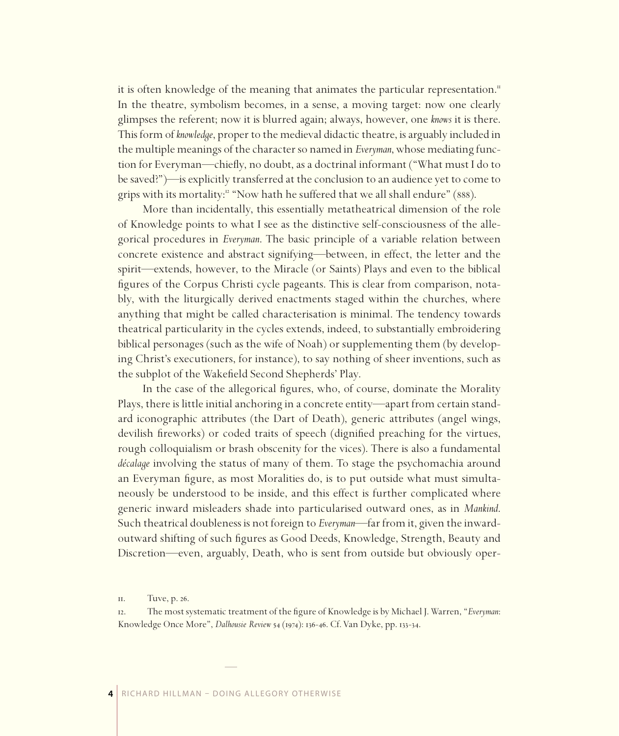it is often knowledge of the meaning that animates the particular representation. In the theatre, symbolism becomes, in a sense, a moving target: now one clearly glimpses the referent; now it is blurred again; always, however, one *knows* it is there. This form of *knowledge*, proper to the medieval didactic theatre, is arguably included in the multiple meanings of the character so named in *Everyman*, whose mediating function for Everyman—chiefly, no doubt, as a doctrinal informant ("What must I do to be saved?")—is explicitly transferred at the conclusion to an audience yet to come to grips with its mortality:<sup>"</sup> "Now hath he suffered that we all shall endure" (888).

More than incidentally, this essentially metatheatrical dimension of the role of Knowledge points to what I see as the distinctive self-consciousness of the allegorical procedures in *Everyman*. The basic principle of a variable relation between concrete existence and abstract signifying—between, in effect, the letter and the spirit—extends, however, to the Miracle (or Saints) Plays and even to the biblical figures of the Corpus Christi cycle pageants. This is clear from comparison, notably, with the liturgically derived enactments staged within the churches, where anything that might be called characterisation is minimal. The tendency towards theatrical particularity in the cycles extends, indeed, to substantially embroidering biblical personages (such as the wife of Noah) or supplementing them (by developing Christ's executioners, for instance), to say nothing of sheer inventions, such as the subplot of the Wakefield Second Shepherds' Play.

In the case of the allegorical figures, who, of course, dominate the Morality Plays, there is little initial anchoring in a concrete entity—apart from certain standard iconographic attributes (the Dart of Death), generic attributes (angel wings, devilish fireworks) or coded traits of speech (dignified preaching for the virtues, rough colloquialism or brash obscenity for the vices). There is also a fundamental *décalage* involving the status of many of them. To stage the psychomachia around an Everyman figure, as most Moralities do, is to put outside what must simultaneously be understood to be inside, and this effect is further complicated where generic inward misleaders shade into particularised outward ones, as in *Mankind*. Such theatrical doubleness is not foreign to *Everyman*—far from it, given the inwardoutward shifting of such figures as Good Deeds, Knowledge, Strength, Beauty and Discretion—even, arguably, Death, who is sent from outside but obviously oper-

II. Tuve, p. 26.

<sup>.</sup> The most systematic treatment of the figure of Knowledge is by Michael J. Warren, "*Everyman*: Knowledge Once More", *Dalhousie Review* 54 (1974): 136-46. Cf. Van Dyke, pp. 133-34.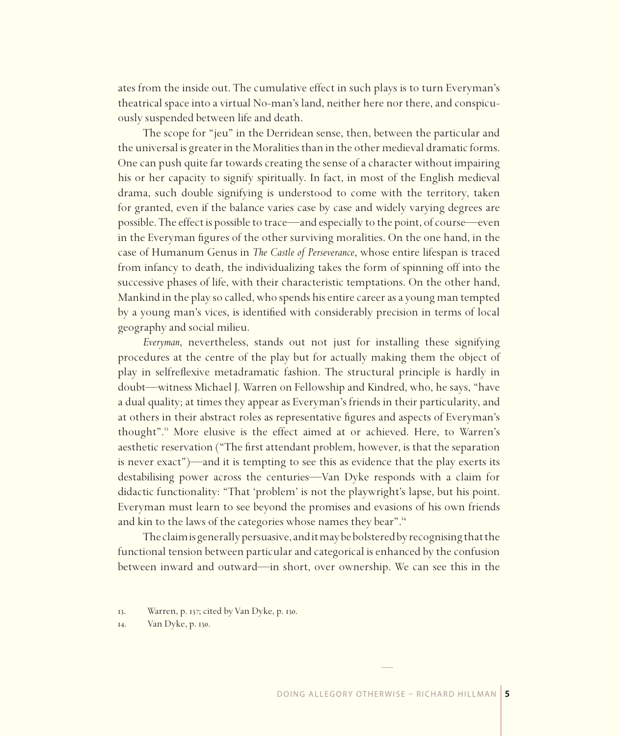ates from the inside out. The cumulative effect in such plays is to turn Everyman's theatrical space into a virtual No-man's land, neither here nor there, and conspicuously suspended between life and death.

The scope for "jeu" in the Derridean sense, then, between the particular and the universal is greater in the Moralities than in the other medieval dramatic forms. One can push quite far towards creating the sense of a character without impairing his or her capacity to signify spiritually. In fact, in most of the English medieval drama, such double signifying is understood to come with the territory, taken for granted, even if the balance varies case by case and widely varying degrees are possible. The effect is possible to trace—and especially to the point, of course—even in the Everyman figures of the other surviving moralities. On the one hand, in the case of Humanum Genus in *The Castle of Perseverance*, whose entire lifespan is traced from infancy to death, the individualizing takes the form of spinning off into the successive phases of life, with their characteristic temptations. On the other hand, Mankind in the play so called, who spends his entire career as a young man tempted by a young man's vices, is identified with considerably precision in terms of local geography and social milieu.

*Everyman*, nevertheless, stands out not just for installing these signifying procedures at the centre of the play but for actually making them the object of play in selfreflexive metadramatic fashion. The structural principle is hardly in doubt—witness Michael J. Warren on Fellowship and Kindred, who, he says, "have a dual quality; at times they appear as Everyman's friends in their particularity, and at others in their abstract roles as representative figures and aspects of Everyman's thought". More elusive is the effect aimed at or achieved. Here, to Warren's aesthetic reservation ("The first attendant problem, however, is that the separation is never exact")—and it is tempting to see this as evidence that the play exerts its destabilising power across the centuries—Van Dyke responds with a claim for didactic functionality: "That 'problem' is not the playwright's lapse, but his point. Everyman must learn to see beyond the promises and evasions of his own friends and kin to the laws of the categories whose names they bear".<sup>14</sup>

The claim is generally persuasive, and it may be bolstered by recognising that the functional tension between particular and categorical is enhanced by the confusion between inward and outward—in short, over ownership. We can see this in the

<sup>13.</sup> Warren, p. 137; cited by Van Dyke, p. 130.

<sup>14.</sup> Van Dyke, p. 130.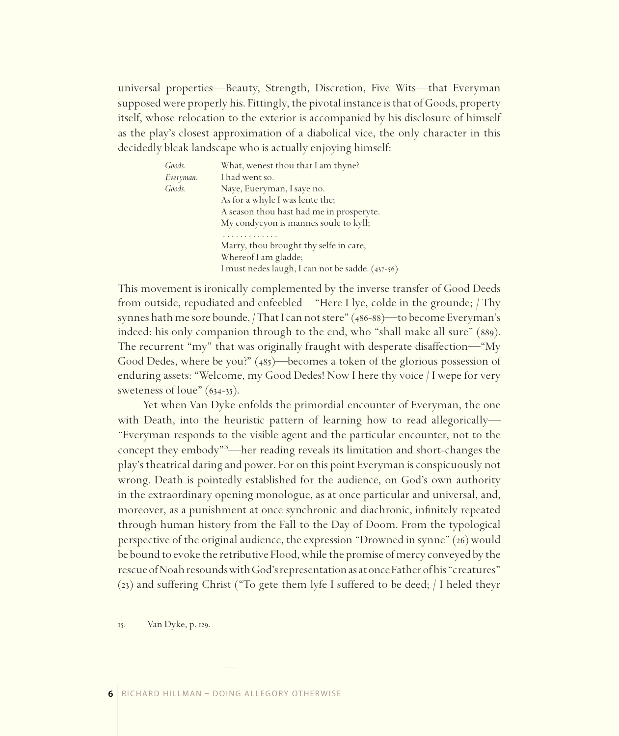universal properties—Beauty, Strength, Discretion, Five Wits—that Everyman supposed were properly his. Fittingly, the pivotal instance is that of Goods, property itself, whose relocation to the exterior is accompanied by his disclosure of himself as the play's closest approximation of a diabolical vice, the only character in this decidedly bleak landscape who is actually enjoying himself:

| Goods.    | What, wenest thou that I am thyne?               |
|-----------|--------------------------------------------------|
| Everyman. | I had went so.                                   |
| Goods.    | Naye, Eueryman, I saye no.                       |
|           | As for a whyle I was lente the;                  |
|           | A season thou hast had me in prosperyte.         |
|           | My condycyon is mannes soule to kyll;            |
|           |                                                  |
|           | Marry, thou brought thy selfe in care,           |
|           | Whereof I am gladde;                             |
|           | I must nedes laugh, I can not be sadde. (437-56) |

This movement is ironically complemented by the inverse transfer of Good Deeds from outside, repudiated and enfeebled—"Here I lye, colde in the grounde; / Thy synnes hath me sore bounde, /That I can not stere" (486-88)—to become Everyman's indeed: his only companion through to the end, who "shall make all sure"  $(889)$ . The recurrent "my" that was originally fraught with desperate disaffection—"My Good Dedes, where be you?"  $(485)$ —becomes a token of the glorious possession of enduring assets: "Welcome, my Good Dedes! Now I here thy voice / I wepe for very sweteness of loue"  $(634-35)$ .

Yet when Van Dyke enfolds the primordial encounter of Everyman, the one with Death, into the heuristic pattern of learning how to read allegorically— "Everyman responds to the visible agent and the particular encounter, not to the concept they embody" —her reading reveals its limitation and short-changes the play's theatrical daring and power. For on this point Everyman is conspicuously not wrong. Death is pointedly established for the audience, on God's own authority in the extraordinary opening monologue, as at once particular and universal, and, moreover, as a punishment at once synchronic and diachronic, infinitely repeated through human history from the Fall to the Day of Doom. From the typological perspective of the original audience, the expression "Drowned in synne"  $(26)$  would be bound to evoke the retributive Flood, while the promise of mercy conveyed by the rescue of Noah resounds with God's representation as at once Father of his "creatures"  $(2)$  and suffering Christ ("To gete them lyfe I suffered to be deed;  $/$  I heled theyr

15. Van Dyke, p. 129.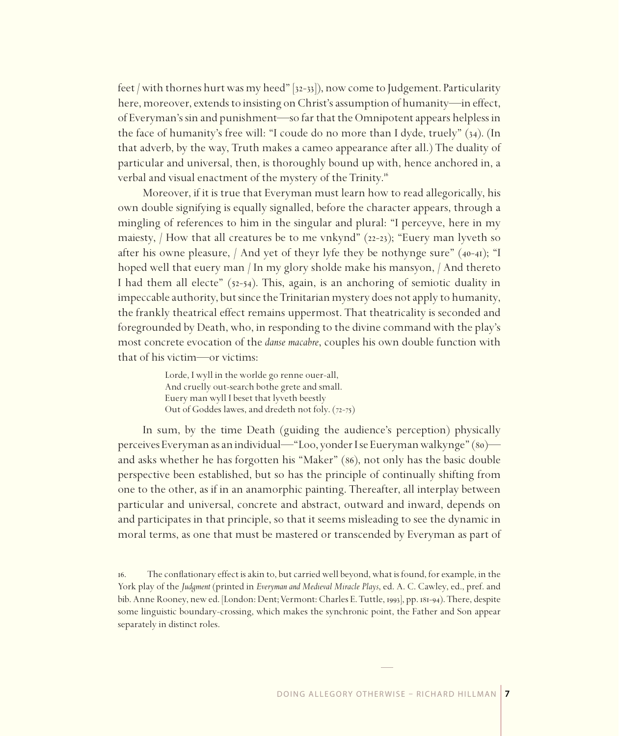feet / with thornes hurt was my heed"  $[32-33]$ ), now come to Judgement. Particularity here, moreover, extends to insisting on Christ's assumption of humanity—in effect, of Everyman's sin and punishment—so far that the Omnipotent appears helpless in the face of humanity's free will: "I coude do no more than I dyde, truely"  $(34)$ . (In that adverb, by the way, Truth makes a cameo appearance after all.) The duality of particular and universal, then, is thoroughly bound up with, hence anchored in, a verbal and visual enactment of the mystery of the Trinity.<sup>16</sup>

Moreover, if it is true that Everyman must learn how to read allegorically, his own double signifying is equally signalled, before the character appears, through a mingling of references to him in the singular and plural: "I perceyve, here in my maiesty,  $\frac{1}{10}$  How that all creatures be to me vnkynd" (22-23); "Euery man lyveth so after his owne pleasure,  $/$  And yet of theyr lyfe they be nothynge sure"  $(40-41);$  "I hoped well that euery man / In my glory sholde make his mansyon, / And thereto I had them all electe"  $(52-54)$ . This, again, is an anchoring of semiotic duality in impeccable authority, but since the Trinitarian mystery does not apply to humanity, the frankly theatrical effect remains uppermost. That theatricality is seconded and foregrounded by Death, who, in responding to the divine command with the play's most concrete evocation of the *danse macabre*, couples his own double function with that of his victim—or victims:

> Lorde, I wyll in the worlde go renne ouer-all, And cruelly out-search bothe grete and small. Euery man wyll I beset that lyveth beestly Out of Goddes lawes, and dredeth not foly. (72-75)

In sum, by the time Death (guiding the audience's perception) physically perceives Everyman as an individual—"Loo, yonder I se Eueryman walkynge" (80) and asks whether he has forgotten his "Maker"  $(86)$ , not only has the basic double perspective been established, but so has the principle of continually shifting from one to the other, as if in an anamorphic painting. Thereafter, all interplay between particular and universal, concrete and abstract, outward and inward, depends on and participates in that principle, so that it seems misleading to see the dynamic in moral terms, as one that must be mastered or transcended by Everyman as part of

. The conflationary effect is akin to, but carried well beyond, what is found, for example, in the York play of the *Judgment* (printed in *Everyman and Medieval Miracle Plays*, ed. A. C. Cawley, ed., pref. and bib. Anne Rooney, new ed. [London: Dent; Vermont: Charles E. Tuttle, 1993], pp. 181-94). There, despite some linguistic boundary-crossing, which makes the synchronic point, the Father and Son appear separately in distinct roles.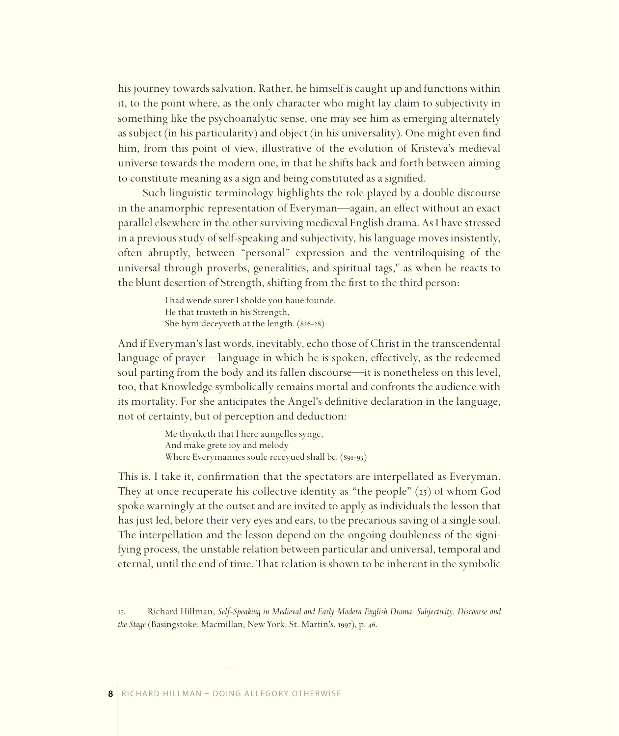his journey towards salvation. Rather, he himself is caught up and functions within it, to the point where, as the only character who might lay claim to subjectivity in something like the psychoanalytic sense, one may see him as emerging alternately as subject (in his particularity) and object (in his universality). One might even find him, from this point of view, illustrative of the evolution of Kristeva's medieval universe towards the modern one, in that he shifts back and forth between aiming to constitute meaning as a sign and being constituted as a signified.

Such linguistic terminology highlights the role played by a double discourse in the anamorphic representation of Everyman—again, an effect without an exact parallel elsewhere in the other surviving medieval English drama. As I have stressed in a previous study of self-speaking and subjectivity, his language moves insistently, often abruptly, between "personal" expression and the ventriloquising of the universal through proverbs, generalities, and spiritual tags," as when he reacts to the blunt desertion of Strength, shifting from the first to the third person:

> I had wende surer I sholde you haue founde. He that trusteth in his Strength, She hym deceyveth at the length.  $(826-28)$

And if Everyman's last words, inevitably, echo those of Christ in the transcendental language of prayer—language in which he is spoken, effectively, as the redeemed soul parting from the body and its fallen discourse—it is nonetheless on this level, too, that Knowledge symbolically remains mortal and confronts the audience with its mortality. For she anticipates the Angel's definitive declaration in the language, not of certainty, but of perception and deduction:

> Me thynketh that I here aungelles synge, And make grete ioy and melody Where Everymannes soule receyued shall be. (891-93)

This is, I take it, confirmation that the spectators are interpellated as Everyman. They at once recuperate his collective identity as "the people"  $(z_5)$  of whom God spoke warningly at the outset and are invited to apply as individuals the lesson that has just led, before their very eyes and ears, to the precarious saving of a single soul. The interpellation and the lesson depend on the ongoing doubleness of the signifying process, the unstable relation between particular and universal, temporal and eternal, until the end of time. That relation is shown to be inherent in the symbolic

<sup>.</sup> Richard Hillman, *Self-Speaking in Medieval and Early Modern English Drama: Subjectivity, Discourse and*  the Stage (Basingstoke: Macmillan; New York: St. Martin's, 1997), p. 46.